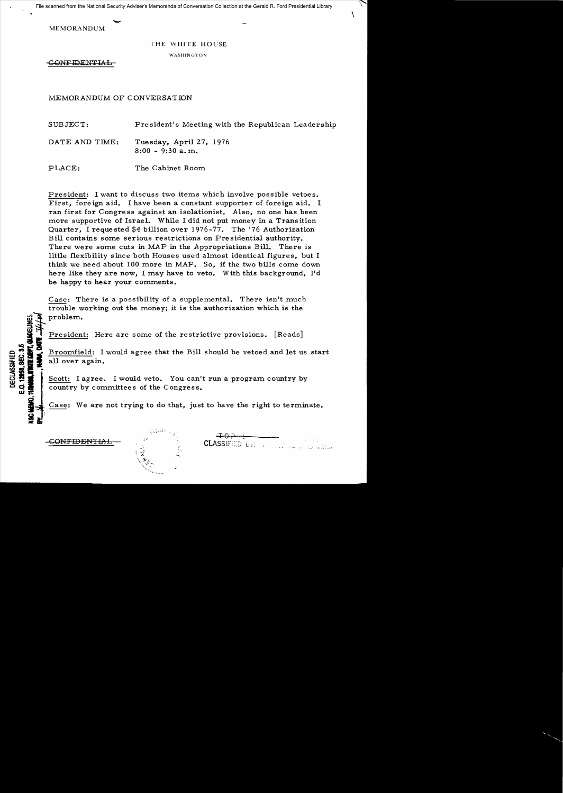File scanned from the National Security Adviser's Memoranda of Conversation Collection at the Gerald R. Ford Presidential Library

**MEMORANDUM** 

## THE WHITE HOUSE

WASHINGTON

CONFIDENTIAL

a . **:IE&;** 

MEMOR.ANDUM OF CONVERSATION

SUBJECT: President's Meeting with the Republican Leadership

DATE AND TIME: Tuesday, April 27, 1976 8:00 - 9:30 a. m.

PLACE: The Cabinet Room

President: I want to discuss two items which involve possible vetoes. First, foreign aid. I have been a constant supporter of foreign aid. I ran first for Congre ss against an isolationist. Also, no one has been more supportive of Israel. While I did not put money in a Trans ition Quarter, I requested \$4 billion over 1976-77. The '76 Authorization Bill contains some serious restrictions on Presidential authority. There were some cuts in MAP in the Appropriations Bill. There is little flexibility since both Houses used almost identical figures, but I think we need about 100 more in MAP. So, if the two bills corne down here like they are now, I may have to veto. With this background, I'd be happy to hear your comments.

Case: There is a possibility of a supplemental. There isn't much trouble working out the money; it is the authorization which is the

out of problem.<br>
President: Here are some of the restrictive provisions. [Reads]<br>
Broomfield: I would agree that the Bill should be vetoed and let us<br>
all over again. for Broomfield: I would agree that the Bill should be vetoed and let us start<br> **IF A Broomfield:** I would agree that the Bill should be vetoed and let us start<br> **IF A BRANCE I I A BRANCE I A I I A BRANCE I A BRANCE I A BRA** 

Scott: I agree. I would veto. You can't run a program country by

country by committees of the Congress.<br>Case: We are not trying to do that, just to have the right to terminate.



 $+0.7 + 0.7$ 

 $\setminus$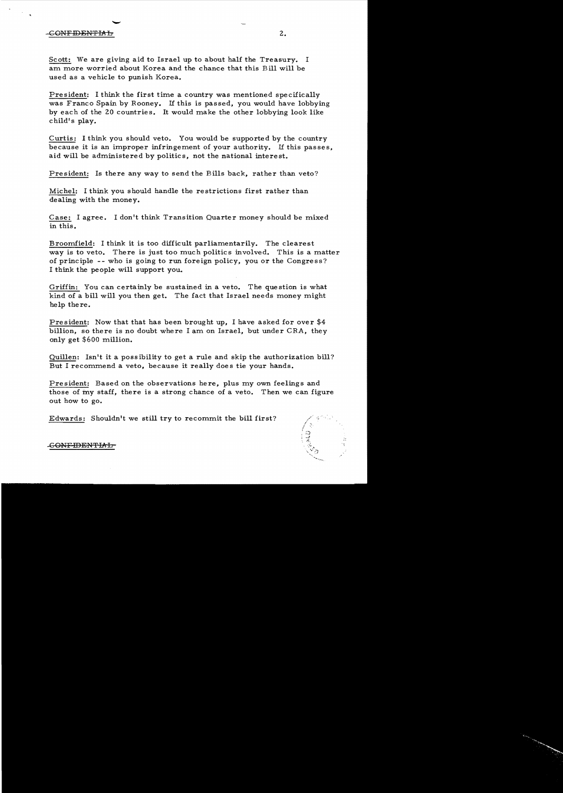## $\frac{1}{1}$ GONFIDENTMh 2.

Scott: We are giving aid to Israel up to about half the Treasury. I am more worried about Korea and the chance that this Bill will be used as a vehicle to punish Korea.

President: I think the first time a country was mentioned specifically was Franco Spain by Rooney. If this is passed, you would have lobbying by each of the 20 countries. It would make the other lobbying look like child's play.

Curtis: I think you should veto. You would be supported by the country because it is an improper infringement of your authority. If this passes, aid will be administered by politics, not the national interest.

President: Is there any way to send the Bills back, rather than veto?

Michel: I think you should handle the restrictions first rather than dealing with the money.

Case: I agree. I don't think Transition Quarter money should be mixed in this.

Broomfield: I think it is too difficult parliamentarily. The clearest way is to veto. There is just too much politics involved. This is a matter of principle -- who is going to run foreign policy, you or the Congress? I think the people will support you.

Griffin: You can certainly be sustained in a veto. The question is what kind of a bill will you then get. The fact that Israel needs money might help there.

President: Now that that has been brought up, I have asked for over \$4 billion, so there is no doubt where I am on Israel, but under CRA, they only get \$600 million.

Quillen: Isn't it a poss ibility to get a rule and skip the authorization bill? But I recommend a veto, because it really does tie your hands.

President: Based on the observations here, plus my own feelings and those of my staff, there is a strong chance of a veto. Then we can figure out how to go.

Edwards: Shouldn't we still try to recommit the bi11 first?



.<del>CONFIDENTIA l</del>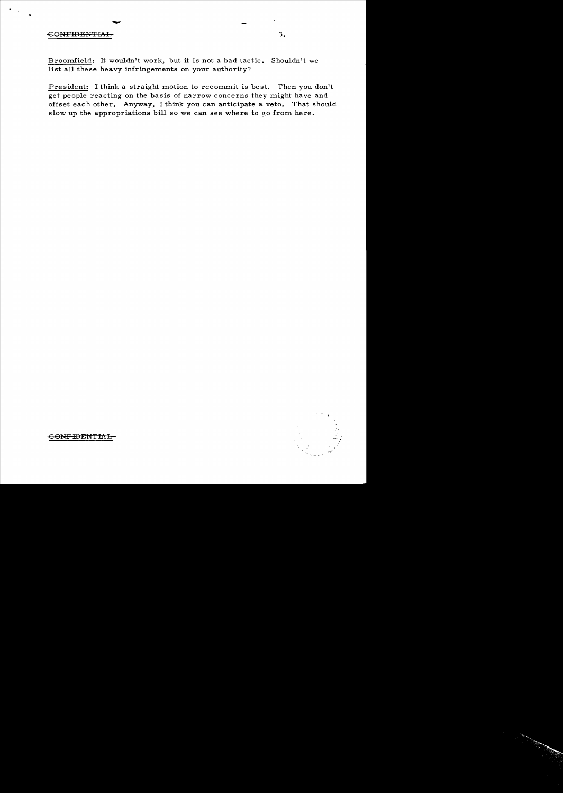## -GGNFIDENTIAL 3.

Broomfield: It wouldn't work, but it is not a bad tactic. Shouldn't we list all these heavy infringements on your authority?

President: I think a straight motion to recommit is best. Then you don't get people reacting on the basis of narrow concerns they might have and offset each other. Anyway, I think you can anticipate a veto. That should slow up the appropriations bill so we can see where to go from here.



GONF **IDENTIAL**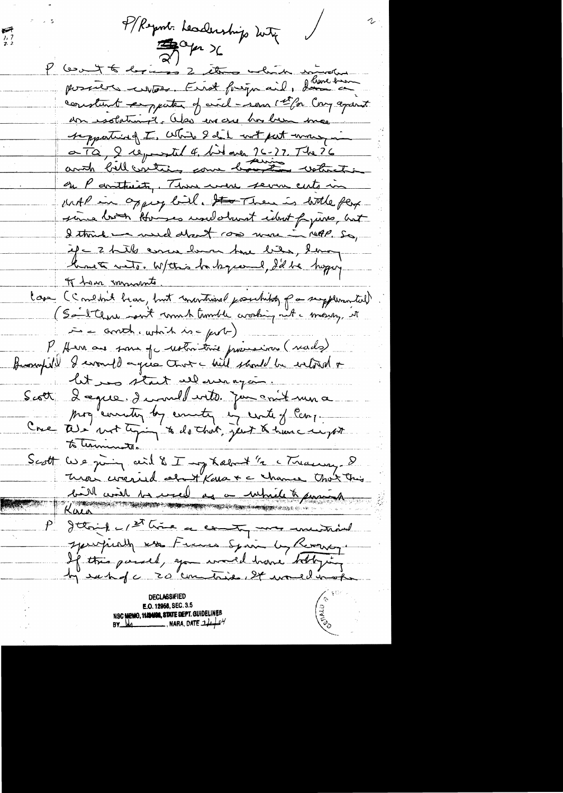P/Report deadership with  $\sum_{i=2}^{n}$ P (cont to derive is 2 this which is possible cubas. First frequent, danceland constant empater of and - son 1st for Cong against don isolation it. Was in one has been mee supporting I, White I did not put money in a Tâ, 2 réponstel 4. bit avec 26-27. The 26 on P antheity, There were seven cuts in unt in opper bill. He Then is little per since both Houses used when it idont fins, but I think we would don't can more in 149.50, if a 2 hits come have have biter, lowing lunet with, Withis habeper I, I'd he hoping I have immedite. lass (Comedail bear, but concritional posechitoty par suggessmantal) in = anotherwhich is = purl-). P. Hen are some of water time provenir (reads) Beaufield I would agree that will should be welted a let us start all magin. Scott 2 agree, de mellevité par en 1 min a Mog country by country in control Scarp. to terminate. Scott We giving cent & I urg habent "a Massing & bill avid la med ag a minilet parais P Jttoil - 1st time a county me univarial sperifiedly was France Spain by Reverty. If this passed, you would have beloging by each of c 20 commences, 24 would in order declassified **E.O. 12958, SEC. 3.5** NSC MEMO, 11/24/08, STATE DEPT. GUIDELINES  $BY$   $Ma$ , NARA, DATE  $\frac{1}{4}$  $0$ <sup>V</sup>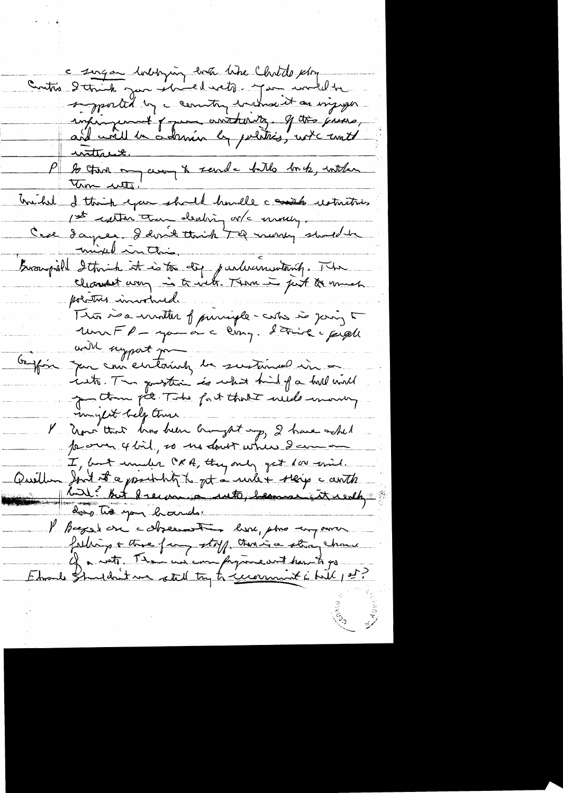Contre 2 compare bobbying both like Christophy<br>Contre 2 commit your showed wets - you would be<br>supported by a construction of the prime,<br>and wall be adamin by politics, wet until <u>unttre 2.</u> to then my compt sand - butto book, withen mihil I think you should handle a watch restrictions mixel in this Bussignifield Ithink it is to dig parlucinautanty. The politics involved. Trois in a monter of principle-costs in joing to will support jour Geoffin Jan comectaring de sustained in a inglet help there V Rome that has been brought up, 2 have whet I, but indix ORA, they only get dow mid.<br>Queillen Jord it a posibility to jet a reale + staring c cents das tive you beaudo. l'hager en cobremat deve, pour un aure fathing + three fang stoff, then is a stray chome Ehrold Student me attel try to survenist i bill pot?